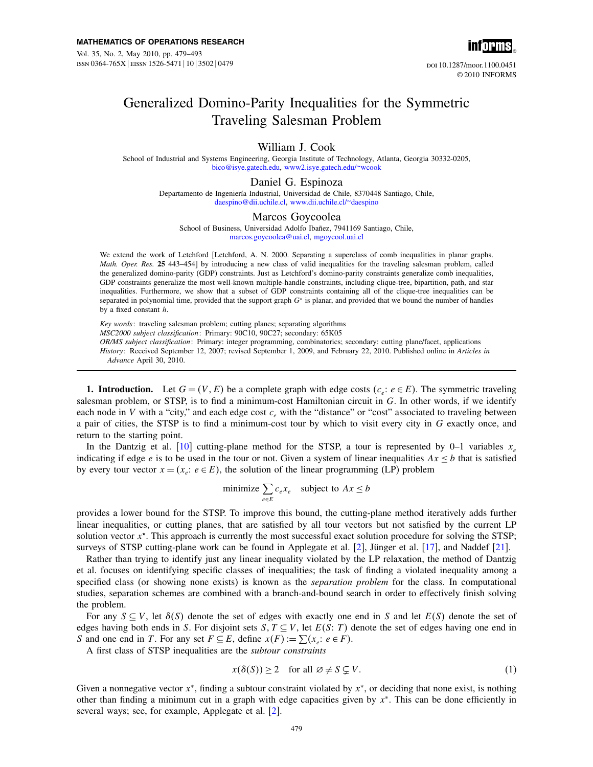

# Generalized Domino-Parity Inequalities for the Symmetric Traveling Salesman Problem

# William J. Cook

School of Industrial and Systems Engineering, Georgia Institute of Technology, Atlanta, Georgia 30332-0205, [bico@isye.gatech.edu,](mailto:bico@isye.gatech.edu) [www2.isye.gatech.edu/~wcook](http://www2.isye.gatech.edu/~wcook)

## Daniel G. Espinoza

Departamento de Ingeniería Industrial, Universidad de Chile, 8370448 Santiago, Chile, [daespino@dii.uchile.cl,](mailto:daespino@dii.uchile.cl) [www.dii.uchile.cl/~daespino](http://www.dii.uchile.cl/~daespino)

## Marcos Goycoolea

School of Business, Universidad Adolfo Ibañez, 7941169 Santiago, Chile, [marcos.goycoolea@uai.cl,](mailto:marcos.goycoolea@uai.cl) [mgoycool.uai.cl](http://mgoycool.uai.cl)

We extend the work of Letchford [Letchford, A. N. 2000. Separating a superclass of comb inequalities in planar graphs. Math. Oper. Res. 25 443–454] by introducing a new class of valid inequalities for the traveling salesman problem, called the generalized domino-parity (GDP) constraints. Just as Letchford's domino-parity constraints generalize comb inequalities, GDP constraints generalize the most well-known multiple-handle constraints, including clique-tree, bipartition, path, and star inequalities. Furthermore, we show that a subset of GDP constraints containing all of the clique-tree inequalities can be separated in polynomial time, provided that the support graph  $G<sup>*</sup>$  is planar, and provided that we bound the number of handles by a fixed constant h.

Key words: traveling salesman problem; cutting planes; separating algorithms MSC2000 subject classification: Primary: 90C10, 90C27; secondary: 65K05 OR/MS subject classification: Primary: integer programming, combinatorics; secondary: cutting plane/facet, applications History: Received September 12, 2007; revised September 1, 2009, and February 22, 2010. Published online in Articles in Advance April 30, 2010.

**1. Introduction.** Let  $G = (V, E)$  be a complete graph with edge costs  $(c_e : e \in E)$ . The symmetric traveling salesman problem, or STSP, is to find a minimum-cost Hamiltonian circuit in G. In other words, if we identify each node in V with a "city," and each edge cost  $c_e$  with the "distance" or "cost" associated to traveling between a pair of cities, the STSP is to find a minimum-cost tour by which to visit every city in G exactly once, and return to the starting point.

In the Dantzig et al. [\[10\]](#page-14-0) cutting-plane method for the STSP, a tour is represented by 0–1 variables  $x_e$ indicating if edge e is to be used in the tour or not. Given a system of linear inequalities  $Ax \leq b$  that is satisfied by every tour vector  $x = (x_e : e \in E)$ , the solution of the linear programming (LP) problem

minimize 
$$
\sum_{e \in E} c_e x_e
$$
 subject to  $Ax \le b$ 

provides a lower bound for the STSP. To improve this bound, the cutting-plane method iteratively adds further linear inequalities, or cutting planes, that are satisfied by all tour vectors but not satisfied by the current LP solution vector  $x^*$ . This approach is currently the most successful exact solution procedure for solving the STSP; surveys of STSP cutting-plane work can be found in Applegate et al. [\[2\]](#page-13-0), Jünger et al. [\[17\]](#page-14-0), and Naddef [\[21\]](#page-14-0).

Rather than trying to identify just any linear inequality violated by the LP relaxation, the method of Dantzig et al. focuses on identifying specific classes of inequalities; the task of finding a violated inequality among a specified class (or showing none exists) is known as the *separation problem* for the class. In computational studies, separation schemes are combined with a branch-and-bound search in order to effectively finish solving the problem.

For any  $S \subseteq V$ , let  $\delta(S)$  denote the set of edges with exactly one end in S and let  $E(S)$  denote the set of edges having both ends in S. For disjoint sets  $S, T \subseteq V$ , let  $E(S: T)$  denote the set of edges having one end in S and one end in T. For any set  $F \subseteq E$ , define  $x(F) := \sum (x_e : e \in F)$ .

A first class of STSP inequalities are the subtour constraints

$$
x(\delta(S)) \ge 2 \quad \text{for all } \varnothing \ne S \subsetneq V. \tag{1}
$$

Given a nonnegative vector  $x^*$ , finding a subtour constraint violated by  $x^*$ , or deciding that none exist, is nothing other than finding a minimum cut in a graph with edge capacities given by x<sup>∗</sup>. This can be done efficiently in several ways; see, for example, Applegate et al. [\[2\]](#page-13-0).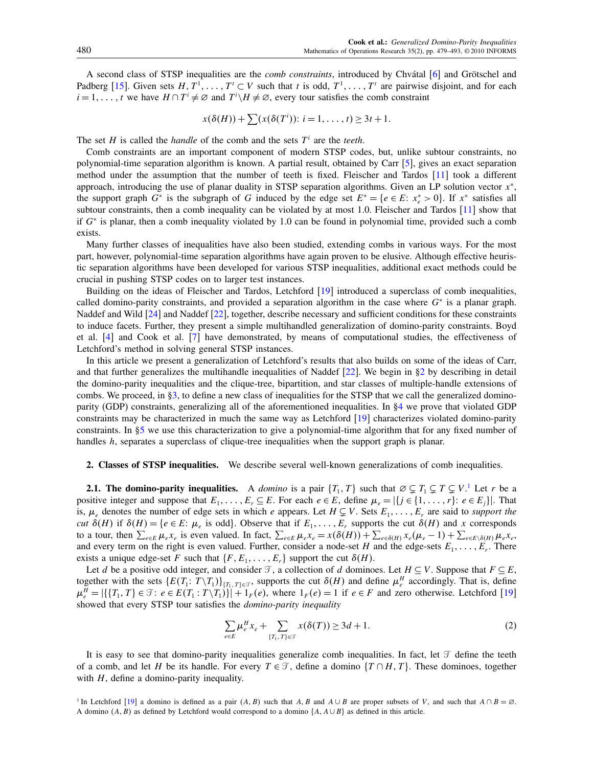<span id="page-1-0"></span>A second class of STSP inequalities are the comb constraints, introduced by Chvátal [\[6\]](#page-14-0) and Grötschel and Padberg [\[15\]](#page-14-0). Given sets  $H, T^1, \ldots, T^t \subset V$  such that t is odd,  $T^1, \ldots, T^t$  are pairwise disjoint, and for each  $i = 1, \dots, t$  we have  $H \cap T^i \neq \emptyset$  and  $T^i \setminus H \neq \emptyset$ , every tour satisfies the comb constraint

$$
x(\delta(H)) + \sum (x(\delta(T^{i})) : i = 1, \ldots, t) \ge 3t + 1.
$$

The set H is called the *handle* of the comb and the sets  $T^i$  are the teeth.

Comb constraints are an important component of modern STSP codes, but, unlike subtour constraints, no polynomial-time separation algorithm is known. A partial result, obtained by Carr [\[5\]](#page-14-0), gives an exact separation method under the assumption that the number of teeth is fixed. Fleischer and Tardos [\[11\]](#page-14-0) took a different approach, introducing the use of planar duality in STSP separation algorithms. Given an LP solution vector x<sup>∗</sup>, the support graph  $G^*$  is the subgraph of G induced by the edge set  $E^* = \{e \in E: x_e^* > 0\}$ . If  $x^*$  satisfies all subtour constraints, then a comb inequality can be violated by at most 1.0. Fleischer and Tardos [\[11\]](#page-14-0) show that if  $G^*$  is planar, then a comb inequality violated by 1.0 can be found in polynomial time, provided such a comb exists.

Many further classes of inequalities have also been studied, extending combs in various ways. For the most part, however, polynomial-time separation algorithms have again proven to be elusive. Although effective heuristic separation algorithms have been developed for various STSP inequalities, additional exact methods could be crucial in pushing STSP codes on to larger test instances.

Building on the ideas of Fleischer and Tardos, Letchford [\[19\]](#page-14-0) introduced a superclass of comb inequalities, called domino-parity constraints, and provided a separation algorithm in the case where  $G^*$  is a planar graph. Naddef and Wild [\[24\]](#page-14-0) and Naddef [\[22\]](#page-14-0), together, describe necessary and sufficient conditions for these constraints to induce facets. Further, they present a simple multihandled generalization of domino-parity constraints. Boyd et al. [\[4\]](#page-14-0) and Cook et al. [\[7\]](#page-14-0) have demonstrated, by means of computational studies, the effectiveness of Letchford's method in solving general STSP instances.

In this article we present a generalization of Letchford's results that also builds on some of the ideas of Carr, and that further generalizes the multihandle inequalities of Naddef  $[22]$ . We begin in §2 by describing in detail the domino-parity inequalities and the clique-tree, bipartition, and star classes of multiple-handle extensions of combs. We proceed, in [§3,](#page-3-0) to define a new class of inequalities for the STSP that we call the generalized dominoparity (GDP) constraints, generalizing all of the aforementioned inequalities. In [§4](#page-5-0) we prove that violated GDP constraints may be characterized in much the same way as Letchford [\[19\]](#page-14-0) characterizes violated domino-parity constraints. In [§5](#page-9-0) we use this characterization to give a polynomial-time algorithm that for any fixed number of handles h, separates a superclass of clique-tree inequalities when the support graph is planar.

#### 2. Classes of STSP inequalities. We describe several well-known generalizations of comb inequalities.

**2.1. The domino-parity inequalities.** A *domino* is a pair  $\{T_1, T\}$  such that  $\emptyset \subsetneq T_1 \subsetneq T \subsetneq V$ . Let r be a positive integer and suppose that  $E_1, \ldots, E_r \subseteq E$ . For each  $e \in E$ , define  $\mu_e = |\{j \in \{1, \ldots, r\} : e \in E_j\}|$ . That is,  $\mu_e$  denotes the number of edge sets in which e appears. Let  $H \subsetneq V$ . Sets  $E_1, \ldots, E_r$  are said to support the *cut*  $\delta(H)$  if  $\delta(H) = \{e \in E : \mu_e \text{ is odd}\}\)$ . Observe that if  $E_1, \ldots, E_r$  supports the cut  $\delta(H)$  and x corresponds to a tour, then  $\sum_{e \in E} \mu_e x_e$  is even valued. In fact,  $\sum_{e \in E} \mu_e x_e = x(\delta(H)) + \sum_{e \in \delta(H)} x_e(\mu_e - 1) + \sum_{e \in E \setminus \delta(H)} \mu_e x_e$ and every term on the right is even valued. Further, consider a node-set H and the edge-sets  $E_1, \ldots, E_r$ . There exists a unique edge-set F such that  $\{F, E_1, \ldots, E_r\}$  support the cut  $\delta(H)$ .

Let d be a positive odd integer, and consider  $\mathcal{T}$ , a collection of d dominoes. Let  $H \subseteq V$ . Suppose that  $F \subseteq E$ , together with the sets  $\{E(T_1: T \setminus T_1)\}_{\{T_1, T\} \in \mathcal{T}}$ , supports the cut  $\delta(H)$  and define  $\mu_e^H$  accordingly. That is, define  $\mu_e^H = |\{\{T_1, T\} \in \mathcal{T} : e \in E(T_1 : T \setminus T_1)\}| + 1_F(e)$ , where  $1_F(e) = 1$  if  $e \in F$  and zero otherwise. Letchford [\[19\]](#page-14-0) showed that every STSP tour satisfies the domino-parity inequality

$$
\sum_{e \in E} \mu_e^H x_e + \sum_{\{T_1, T\} \in \mathcal{T}} x(\delta(T)) \ge 3d + 1.
$$
 (2)

It is easy to see that domino-parity inequalities generalize comb inequalities. In fact, let  $\mathcal T$  define the teeth of a comb, and let H be its handle. For every  $T \in \mathcal{T}$ , define a domino  $\{T \cap H, T\}$ . These dominoes, together with  $H$ , define a domino-parity inequality.

<sup>&</sup>lt;sup>1</sup> In Letchford [\[19\]](#page-14-0) a domino is defined as a pair  $(A, B)$  such that  $A, B$  and  $A \cup B$  are proper subsets of V, and such that  $A \cap B = \emptyset$ . A domino  $(A, B)$  as defined by Letchford would correspond to a domino  $\{A, A \cup B\}$  as defined in this article.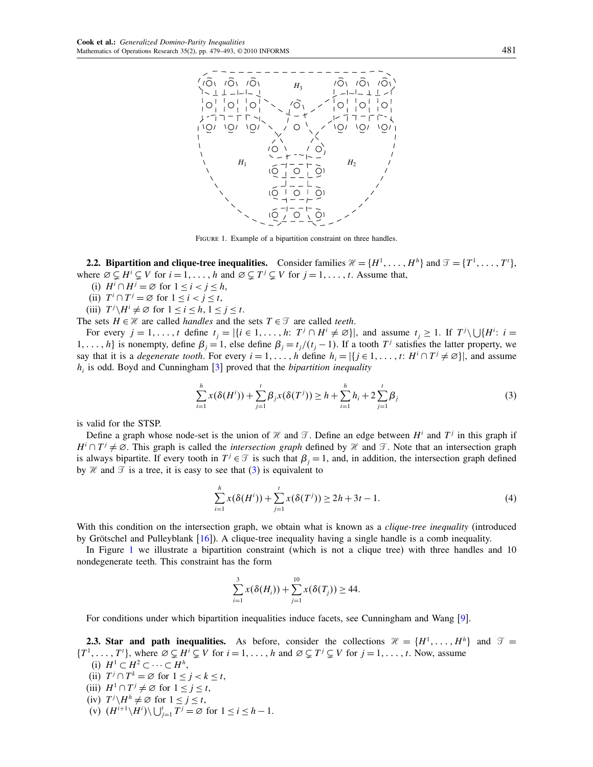

FIGURE 1. Example of a bipartition constraint on three handles.

**2.2. Bipartition and clique-tree inequalities.** Consider families  $\mathcal{H} = \{H^1, \ldots, H^h\}$  and  $\mathcal{T} = \{T^1, \ldots, T^t\}$ , where  $\emptyset \subsetneq H^i \subsetneq V$  for  $i = 1, \ldots, h$  and  $\emptyset \subsetneq T^j \subsetneq V$  for  $j = 1, \ldots, t$ . Assume that,

- (i)  $H^i \cap H^j = \emptyset$  for  $1 \le i < j \le h$ ,
- (ii)  $T^i \cap T^j = \emptyset$  for  $1 \leq i < j \leq t$ ,
- (iii)  $T^j \setminus H^i \neq \emptyset$  for  $1 \le i \le h, 1 \le j \le t$ .

The sets  $H \in \mathcal{H}$  are called *handles* and the sets  $T \in \mathcal{T}$  are called *teeth*.

For every  $j = 1, ..., t$  define  $t_j = |\{i \in 1, ..., h: T^j \cap H^i \neq \emptyset\}|$ , and assume  $t_j \geq 1$ . If  $T^j \setminus \bigcup \{H^i : i = 1, ..., t\}$ 1, ..., h} is nonempty, define  $\beta_j = 1$ , else define  $\beta_i = t_j/(t_j - 1)$ . If a tooth  $T^j$  satisfies the latter property, we say that it is a *degenerate tooth*. For every  $i = 1, \ldots, h$  define  $h_i = |\{j \in 1, \ldots, t : H^i \cap T^j \neq \emptyset\}|$ , and assume  $h_i$  is odd. Boyd and Cunningham [\[3\]](#page-13-0) proved that the *bipartition inequality* 

$$
\sum_{i=1}^{h} x(\delta(H^{i})) + \sum_{j=1}^{t} \beta_{j} x(\delta(T^{j})) \geq h + \sum_{i=1}^{h} h_{i} + 2 \sum_{j=1}^{t} \beta_{j}
$$
(3)

is valid for the STSP.

Define a graph whose node-set is the union of  $\mathcal H$  and  $\mathcal T$ . Define an edge between  $H^i$  and  $T^j$  in this graph if  $H^i \cap T^j \neq \emptyset$ . This graph is called the *intersection graph* defined by  $\mathcal{H}$  and  $\mathcal{T}$ . Note that an intersection graph is always bipartite. If every tooth in  $T^j \in \mathcal{T}$  is such that  $\beta_j = 1$ , and, in addition, the intersection graph defined by H and  $\mathcal{T}$  is a tree, it is easy to see that (3) is equivalent to

$$
\sum_{i=1}^{h} x(\delta(H^{i})) + \sum_{j=1}^{t} x(\delta(T^{j})) \ge 2h + 3t - 1.
$$
 (4)

With this condition on the intersection graph, we obtain what is known as a *clique-tree inequality* (introduced by Grötschel and Pulleyblank [\[16\]](#page-14-0)). A clique-tree inequality having a single handle is a comb inequality.

In Figure 1 we illustrate a bipartition constraint (which is not a clique tree) with three handles and 10 nondegenerate teeth. This constraint has the form

$$
\sum_{i=1}^{3} x(\delta(H_i)) + \sum_{j=1}^{10} x(\delta(T_j)) \ge 44.
$$

For conditions under which bipartition inequalities induce facets, see Cunningham and Wang [\[9\]](#page-14-0).

**2.3. Star and path inequalities.** As before, consider the collections  $\mathcal{H} = \{H^1, \ldots, H^h\}$  and  $\mathcal{T} =$  $\{T^1, \ldots, T^i\}$ , where  $\emptyset \subsetneq H^i \subsetneq V$  for  $i = 1, \ldots, h$  and  $\emptyset \subsetneq T^j \subsetneq V$  for  $j = 1, \ldots, t$ . Now, assume

- (i)  $H^1 \subset H^2 \subset \cdots \subset H^h$ , (ii)  $T^j \cap T^k = \emptyset$  for  $1 \le j < k \le t$ ,
- (iii)  $H^1 \cap T^j \neq \emptyset$  for  $1 \leq j \leq t$ ,
- 
- (iv)  $T^j \setminus H^h \neq \emptyset$  for  $1 \le j \le t$ , (v)  $(H^{i+1}\backslash H^i)\backslash \bigcup_{j=1}^t T^j = \emptyset$  for  $1 \le i \le h-1$ .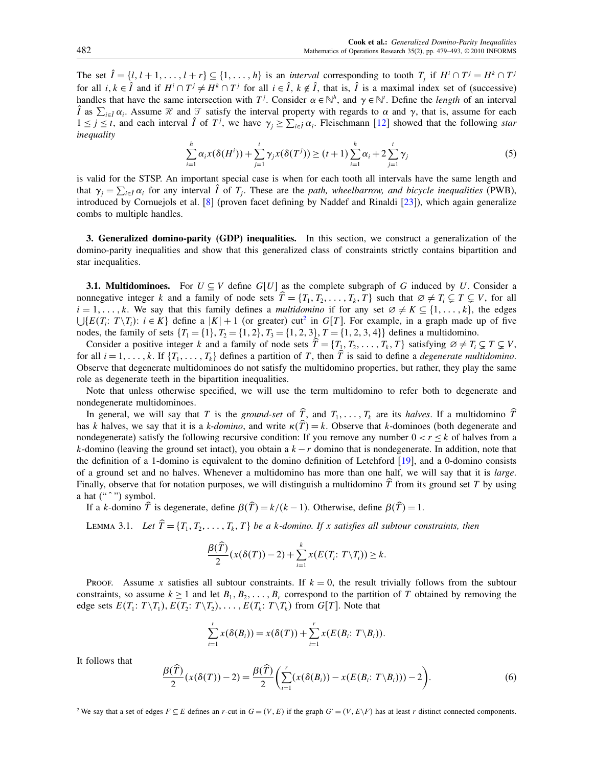<span id="page-3-0"></span>The set  $\hat{l} = \{l, l+1, \ldots, l+r\} \subseteq \{1, \ldots, h\}$  is an *interval* corresponding to tooth  $T_j$  if  $H^i \cap T^j = H^k \cap T^j$ for all  $i, k \in \hat{I}$  and if  $H^i \cap T^j \neq H^k \cap T^j$  for all  $i \in \hat{I}$ ,  $k \notin \hat{I}$ , that is,  $\hat{I}$  is a maximal index set of (successive) handles that have the same intersection with  $T^j$ . Consider  $\alpha \in \mathbb{N}^h$ , and  $\gamma \in \mathbb{N}^t$ . Define the *length* of an interval I as  $\sum_{i \in \hat{I}} \alpha_i$ . Assume  $\mathcal{H}$  and  $\mathcal{T}$  satisfy the interval property with regards to  $\alpha$  and  $\gamma$ , that is, assume for each  $1 \le j \le t$ , and each interval  $\hat{I}$  of  $T^j$ , we have  $\gamma_j \ge \sum_{i \in \hat{I}} \alpha_i$ . Fleischmann [\[12\]](#page-14-0) showed that the following star inequality

$$
\sum_{i=1}^{h} \alpha_i x(\delta(H^i)) + \sum_{j=1}^{t} \gamma_j x(\delta(T^j)) \ge (t+1) \sum_{i=1}^{h} \alpha_i + 2 \sum_{j=1}^{t} \gamma_j
$$
\n(5)

is valid for the STSP. An important special case is when for each tooth all intervals have the same length and that  $\gamma_j = \sum_{i \in \hat{I}} \alpha_i$  for any interval  $\hat{I}$  of  $T_j$ . These are the *path, wheelbarrow, and bicycle inequalities* (PWB), introduced by Cornuejols et al. [\[8\]](#page-14-0) (proven facet defining by Naddef and Rinaldi [\[23\]](#page-14-0)), which again generalize combs to multiple handles.

3. Generalized domino-parity (GDP) inequalities. In this section, we construct a generalization of the domino-parity inequalities and show that this generalized class of constraints strictly contains bipartition and star inequalities.

**3.1. Multidominoes.** For  $U \subseteq V$  define  $G[U]$  as the complete subgraph of G induced by U. Consider a nonnegative integer k and a family of node sets  $T = \{T_1, T_2, \ldots, T_k, T\}$  such that  $\emptyset \neq T_i \subsetneq T \subsetneq V$ , for all  $i = 1, \ldots, k$ . We say that this family defines a multidomino if for any set  $\emptyset \neq K \subseteq \{1, \ldots, k\}$ , the edges  $\bigcup \{E(T_i: T \setminus T_i): i \in K\}$  define a  $|K| + 1$  (or greater) cut<sup>2</sup> in  $G[T]$ . For example, in a graph made up of five nodes, the family of sets  $\{T_1 = \{1\}, T_2 = \{1, 2\}, T_3 = \{1, 2, 3\}, T = \{1, 2, 3, 4\}\}\)$  defines a multidomino.

Consider a positive integer k and a family of node sets  $T = \{T_1, T_2, \ldots, T_k, T\}$  satisfying  $\emptyset \neq T_i \subsetneq T \subsetneq V$ , for all  $i = 1, \ldots, k$ . If  $\{T_1, \ldots, T_k\}$  defines a partition of T, then T is said to define a *degenerate multidomino*. Observe that degenerate multidominoes do not satisfy the multidomino properties, but rather, they play the same role as degenerate teeth in the bipartition inequalities.

Note that unless otherwise specified, we will use the term multidomino to refer both to degenerate and nondegenerate multidominoes.

In general, we will say that T is the ground-set of T, and  $T_1, \ldots, T_k$  are its halves. If a multidomino T has k halves, we say that it is a k-domino, and write  $\kappa(\hat{T}) = k$ . Observe that k-dominoes (both degenerate and nondegenerate) satisfy the following recursive condition: If you remove any number  $0 < r \leq k$  of halves from a k-domino (leaving the ground set intact), you obtain a  $k-r$  domino that is nondegenerate. In addition, note that the definition of a 1-domino is equivalent to the domino definition of Letchford [\[19\]](#page-14-0), and a 0-domino consists of a ground set and no halves. Whenever a multidomino has more than one half, we will say that it is large. Finally, observe that for notation purposes, we will distinguish a multidomino  $T$  from its ground set  $T$  by using a hat  $("")$  symbol.

If a k-domino T is degenerate, define  $\beta(T) = k/(k-1)$ . Otherwise, define  $\beta(T) = 1$ .

LEMMA 3.1. Let  $\hat{T} = \{T_1, T_2, \ldots, T_k, T\}$  be a k-domino. If x satisfies all subtour constraints, then

$$
\frac{\beta(\widehat{T})}{2}(x(\delta(T))-2)+\sum_{i=1}^k x(E(T_i; T\setminus T_i))\geq k.
$$

Proof. Assume x satisfies all subtour constraints. If  $k = 0$ , the result trivially follows from the subtour constraints, so assume  $k \ge 1$  and let  $B_1, B_2, \ldots, B_r$  correspond to the partition of T obtained by removing the edge sets  $E(T_1: T \setminus T_1), E(T_2: T \setminus T_2), \ldots, E(T_k: T \setminus T_k)$  from  $G[T]$ . Note that

$$
\sum_{i=1}^r x(\delta(B_i)) = x(\delta(T)) + \sum_{i=1}^r x(E(B_i: T \setminus B_i)).
$$

It follows that

$$
\frac{\beta(\widehat{T})}{2}(x(\delta(T))-2)=\frac{\beta(\widehat{T})}{2}\bigg(\sum_{i=1}^r(x(\delta(B_i))-x(E(B_i; T\backslash B_i)))-2\bigg).
$$
\n(6)

<sup>2</sup> We say that a set of edges  $F \subseteq E$  defines an r-cut in  $G = (V, E)$  if the graph  $G' = (V, E \setminus F)$  has at least r distinct connected components.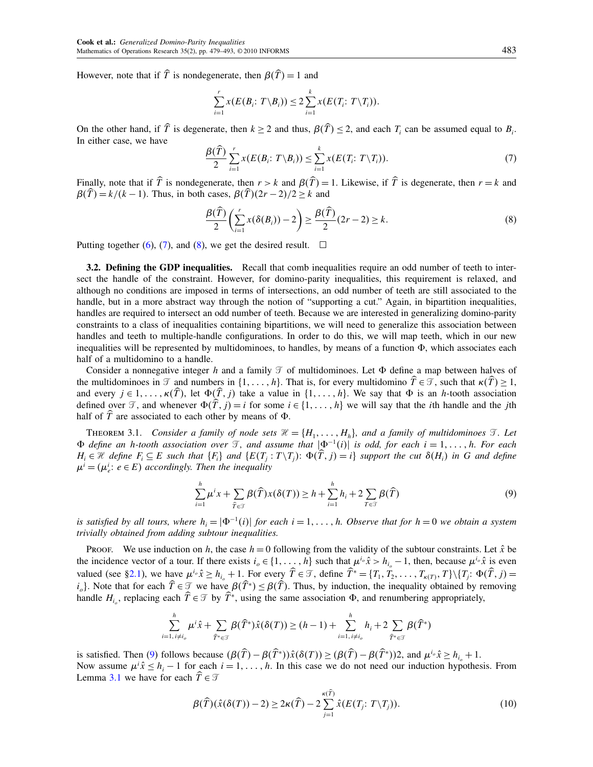<span id="page-4-0"></span>However, note that if T is nondegenerate, then  $\beta(T) = 1$  and

$$
\sum_{i=1}^r x(E(B_i; T \setminus B_i)) \leq 2 \sum_{i=1}^k x(E(T_i; T \setminus T_i)).
$$

On the other hand, if T is degenerate, then  $k \ge 2$  and thus,  $\beta(T) \le 2$ , and each  $T_i$  can be assumed equal to  $B_i$ . In either case, we have

$$
\frac{\beta(\widehat{T})}{2} \sum_{i=1}^r x(E(B_i; T \setminus B_i)) \leq \sum_{i=1}^k x(E(T_i; T \setminus T_i)). \tag{7}
$$

Finally, note that if T is nondegenerate, then  $r > k$  and  $\beta(T) = 1$ . Likewise, if T is degenerate, then  $r = k$  and  $\beta(\hat{T}) = k/(k-1)$ . Thus, in both cases,  $\beta(\hat{T}) (2r - 2)/2 \geq k$  and

$$
\frac{\beta(\widehat{T})}{2}\left(\sum_{i=1}^r x(\delta(B_i)) - 2\right) \ge \frac{\beta(\widehat{T})}{2}(2r - 2) \ge k.
$$
\n(8)

Putting together [\(6\)](#page-3-0), (7), and (8), we get the desired result.  $\Box$ 

**3.2. Defining the GDP inequalities.** Recall that comb inequalities require an odd number of teeth to intersect the handle of the constraint. However, for domino-parity inequalities, this requirement is relaxed, and although no conditions are imposed in terms of intersections, an odd number of teeth are still associated to the handle, but in a more abstract way through the notion of "supporting a cut." Again, in bipartition inequalities, handles are required to intersect an odd number of teeth. Because we are interested in generalizing domino-parity constraints to a class of inequalities containing bipartitions, we will need to generalize this association between handles and teeth to multiple-handle configurations. In order to do this, we will map teeth, which in our new inequalities will be represented by multidominoes, to handles, by means of a function  $\Phi$ , which associates each half of a multidomino to a handle.

Consider a nonnegative integer h and a family  $\mathcal T$  of multidominoes. Let  $\Phi$  define a map between halves of the multidominoes in  $\mathcal T$  and numbers in  $\{1, \ldots, h\}$ . That is, for every multidomino  $T \in \mathcal T$ , such that  $\kappa(T) \ge 1$ , and every  $j \in 1, \ldots, \kappa(\widehat{T})$ , let  $\Phi(\widehat{T}, j)$  take a value in  $\{1, \ldots, h\}$ . We say that  $\Phi$  is an h-tooth association defined over  $\mathcal{T}$ , and whenever  $\Phi(\hat{T}, j) = i$  for some  $i \in \{1, \ldots, h\}$  we will say that the *i*th handle and the *j*th half of  $T$  are associated to each other by means of  $\Phi$ .

THEOREM 3.1. Consider a family of node sets  $\mathcal{H} = \{H_1, \ldots, H_h\}$ , and a family of multidominoes  $\mathcal{T}$ . Let  $\Phi$  define an h-tooth association over  $\Im$ , and assume that  $|\Phi^{-1}(i)|$  is odd, for each  $i = 1, \ldots, h$ . For each  $H_i \in \mathcal{H}$  define  $F_i \subseteq E$  such that  $\{F_i\}$  and  $\{E(T_j : T \setminus T_j): \Phi(T, j) = i\}$  support the cut  $\delta(H_i)$  in G and define  $\mu^{i} = (\mu^{i}_{e}: e \in E)$  accordingly. Then the inequality

$$
\sum_{i=1}^{h} \mu^{i} x + \sum_{\widehat{T} \in \mathcal{T}} \beta(\widehat{T}) x(\delta(T)) \ge h + \sum_{i=1}^{h} h_{i} + 2 \sum_{T \in \mathcal{T}} \beta(\widehat{T})
$$
\n(9)

is satisfied by all tours, where  $h_i = |\Phi^{-1}(i)|$  for each  $i = 1, \ldots, h$ . Observe that for  $h = 0$  we obtain a system trivially obtained from adding subtour inequalities.

Proof. We use induction on h, the case  $h = 0$  following from the validity of the subtour constraints. Let  $\hat{x}$  be the incidence vector of a tour. If there exists  $i_0 \in \{1, \ldots, h\}$  such that  $\mu^{i_0} \hat{x} > h_{i_0} - 1$ , then, because  $\mu^{i_0} \hat{x}$  is even valued (see [§2.1\)](#page-1-0), we have  $\mu^{i_o} \hat{x} \ge h_{i_o} + 1$ . For every  $\hat{T} \in \mathcal{T}$ , define  $\hat{T}^* = \{T_1, T_2, \dots, T_{\kappa(T)}, T\} \setminus \{T_j : \Phi(\hat{T}, j) = 1\}$  $i_o$ . Note that for each  $T \in \mathcal{T}$  we have  $\beta(T^*) \leq \beta(T)$ . Thus, by induction, the inequality obtained by removing handle  $H_{i_o}$ , replacing each  $T \in \mathcal{T}$  by  $T^*$ , using the same association  $\Phi$ , and renumbering appropriately,

$$
\sum_{i=1,\,i\neq i_o}^{h} \mu^i \hat{x} + \sum_{\hat{T}^* \in \mathcal{T}} \beta(\hat{T}^*) \hat{x}(\delta(T)) \ge (h-1) + \sum_{i=1,\,i\neq i_o}^{h} h_i + 2 \sum_{\hat{T}^* \in \mathcal{T}} \beta(\hat{T}^*)
$$

is satisfied. Then (9) follows because  $(\beta(\hat{T}) - \beta(\hat{T}^*))\hat{x}(\delta(T)) \geq (\beta(\hat{T}) - \beta(\hat{T}^*))2$ , and  $\mu^{i_o}\hat{x} \geq h_{i_o} + 1$ . Now assume  $\mu^i \hat{x} \leq h_i - 1$  for each  $i = 1, \dots, h$ . In this case we do not need our induction hypothesis. From Lemma [3.1](#page-3-0) we have for each  $T \in \mathcal{T}$ 

$$
\beta(\widehat{T})(\widehat{x}(\delta(T)) - 2) \ge 2\kappa(\widehat{T}) - 2\sum_{j=1}^{\kappa(\widehat{T})} \widehat{x}(E(T_j; T \setminus T_j)).
$$
\n(10)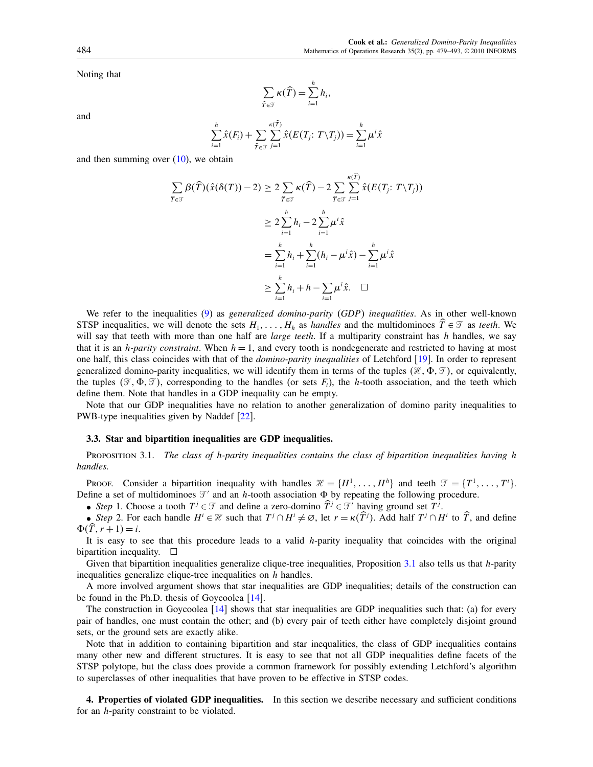<span id="page-5-0"></span>Noting that

$$
\sum_{\widehat{T}\in\mathcal{T}}\kappa(\widehat{T})=\sum_{i=1}^h h_i,
$$

and

$$
\sum_{i=1}^h \hat{x}(F_i) + \sum_{\hat{T} \in \mathcal{T}} \sum_{j=1}^{\kappa(\hat{T})} \hat{x}(E(T_j: T \setminus T_j)) = \sum_{i=1}^h \mu^i \hat{x}
$$

and then summing over  $(10)$ , we obtain

$$
\sum_{\widehat{T} \in \mathcal{T}} \beta(\widehat{T})(\widehat{x}(\delta(T)) - 2) \ge 2 \sum_{\widehat{T} \in \mathcal{T}} \kappa(\widehat{T}) - 2 \sum_{\widehat{T} \in \mathcal{T}} \sum_{j=1}^{\kappa(T)} \widehat{x}(E(T_j; T \setminus T_j))
$$
  

$$
\ge 2 \sum_{i=1}^h h_i - 2 \sum_{i=1}^h \mu^i \widehat{x}
$$
  

$$
= \sum_{i=1}^h h_i + \sum_{i=1}^h (h_i - \mu^i \widehat{x}) - \sum_{i=1}^h \mu^i \widehat{x}
$$
  

$$
\ge \sum_{i=1}^h h_i + h - \sum_{i=1}^h \mu^i \widehat{x}. \quad \Box
$$

We refer to the inequalities [\(9\)](#page-4-0) as *generalized domino-parity (GDP) inequalities*. As in other well-known STSP inequalities, we will denote the sets  $H_1, \ldots, H_h$  as *handles* and the multidominoes  $\widetilde{T} \in \mathcal{T}$  as *teeth*. We will say that teeth with more than one half are *large teeth*. If a multiparity constraint has  $h$  handles, we say that it is an *h-parity constraint*. When  $h = 1$ , and every tooth is nondegenerate and restricted to having at most one half, this class coincides with that of the *domino-parity inequalities* of Letchford [\[19\]](#page-14-0). In order to represent generalized domino-parity inequalities, we will identify them in terms of the tuples  $(\mathcal{H}, \Phi, \mathcal{T})$ , or equivalently, the tuples  $(\mathcal{F}, \Phi, \mathcal{T})$ , corresponding to the handles (or sets  $F_i$ ), the h-tooth association, and the teeth which define them. Note that handles in a GDP inequality can be empty.

Note that our GDP inequalities have no relation to another generalization of domino parity inequalities to PWB-type inequalities given by Naddef [\[22\]](#page-14-0).

#### 3.3. Star and bipartition inequalities are GDP inequalities.

PROPOSITION 3.1. The class of h-parity inequalities contains the class of bipartition inequalities having h handles.

PROOF. Consider a bipartition inequality with handles  $\mathcal{H} = \{H^1, \dots, H^h\}$  and teeth  $\mathcal{T} = \{T^1, \dots, T^t\}$ . Define a set of multidominoes  $\mathcal{T}'$  and an h-tooth association  $\Phi$  by repeating the following procedure.

• Step 1. Choose a tooth  $T^j \in \mathcal{T}$  and define a zero-domino  $\hat{T}^j \in \mathcal{T}'$  having ground set  $T^j$ .

• Step 2. For each handle  $H^i \in \mathcal{H}$  such that  $T^j \cap H^i \neq \emptyset$ , let  $r = \kappa(\widehat{T}^j)$ . Add half  $T^j \cap H^i$  to  $\widehat{T}$ , and define  $\Phi(T, r + 1) = i.$ 

It is easy to see that this procedure leads to a valid  $h$ -parity inequality that coincides with the original bipartition inequality.  $\Box$ 

Given that bipartition inequalities generalize clique-tree inequalities, Proposition  $3.1$  also tells us that h-parity inequalities generalize clique-tree inequalities on h handles.

A more involved argument shows that star inequalities are GDP inequalities; details of the construction can be found in the Ph.D. thesis of Goycoolea [\[14\]](#page-14-0).

The construction in Goycoolea  $[14]$  shows that star inequalities are GDP inequalities such that: (a) for every pair of handles, one must contain the other; and (b) every pair of teeth either have completely disjoint ground sets, or the ground sets are exactly alike.

Note that in addition to containing bipartition and star inequalities, the class of GDP inequalities contains many other new and different structures. It is easy to see that not all GDP inequalities define facets of the STSP polytope, but the class does provide a common framework for possibly extending Letchford's algorithm to superclasses of other inequalities that have proven to be effective in STSP codes.

4. Properties of violated GDP inequalities. In this section we describe necessary and sufficient conditions for an h-parity constraint to be violated.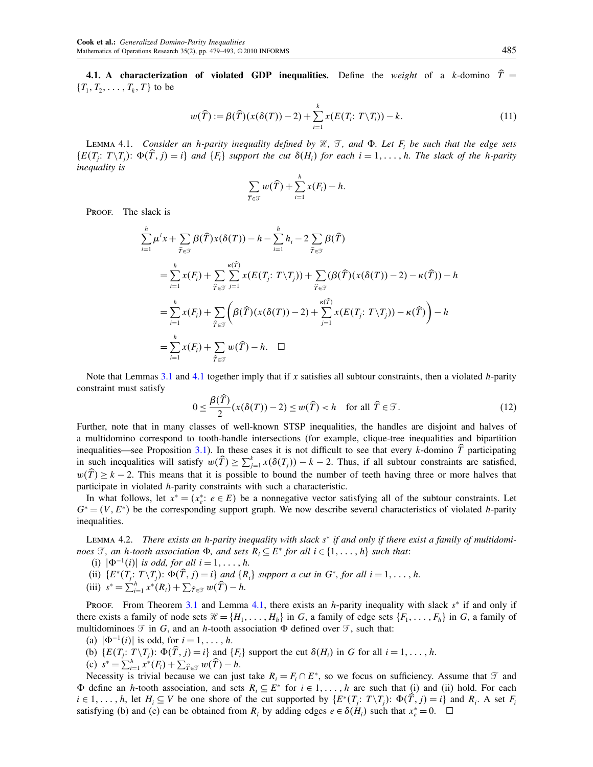<span id="page-6-0"></span>**4.1.** A characterization of violated GDP inequalities. Define the weight of a k-domino  $\overline{T}$  =  ${T_1, T_2, \ldots, T_k, T}$  to be

$$
w(\widehat{T}) := \beta(\widehat{T})(x(\delta(T)) - 2) + \sum_{i=1}^{k} x(E(T_i; T \setminus T_i)) - k. \tag{11}
$$

LEMMA 4.1. Consider an h-parity inequality defined by  $\mathcal{H}$ ,  $\mathcal{T}$ , and  $\Phi$ . Let  $F_i$  be such that the edge sets  $\{E(T_j: T \setminus T_j): \Phi(T, j) = i\}$  and  $\{F_i\}$  support the cut  $\delta(H_i)$  for each  $i = 1, \ldots, h$ . The slack of the h-parity inequality is

$$
\sum_{\widehat{T}\in\mathcal{T}} w(\widehat{T}) + \sum_{i=1}^h x(F_i) - h.
$$

PROOF. The slack is

$$
\sum_{i=1}^{h} \mu^{i} x + \sum_{\widehat{T} \in \mathcal{T}} \beta(\widehat{T}) x(\delta(T)) - h - \sum_{i=1}^{h} h_{i} - 2 \sum_{\widehat{T} \in \mathcal{T}} \beta(\widehat{T})
$$
\n
$$
= \sum_{i=1}^{h} x(F_{i}) + \sum_{\widehat{T} \in \mathcal{T}} \sum_{j=1}^{\kappa(\widehat{T})} x(E(T_{j}: T \setminus T_{j})) + \sum_{\widehat{T} \in \mathcal{T}} (\beta(\widehat{T}) (x(\delta(T)) - 2) - \kappa(\widehat{T})) - h
$$
\n
$$
= \sum_{i=1}^{h} x(F_{i}) + \sum_{\widehat{T} \in \mathcal{T}} \left(\beta(\widehat{T}) (x(\delta(T)) - 2) + \sum_{j=1}^{\kappa(\widehat{T})} x(E(T_{j}: T \setminus T_{j})) - \kappa(\widehat{T})\right) - h
$$
\n
$$
= \sum_{i=1}^{h} x(F_{i}) + \sum_{\widehat{T} \in \mathcal{T}} w(\widehat{T}) - h. \quad \Box
$$

Note that Lemmas [3.1](#page-3-0) and 4.1 together imply that if x satisfies all subtour constraints, then a violated h-parity constraint must satisfy

$$
0 \le \frac{\beta(\widehat{T})}{2} (x(\delta(T)) - 2) \le w(\widehat{T}) < h \quad \text{for all } \widehat{T} \in \mathcal{T}.\tag{12}
$$

Further, note that in many classes of well-known STSP inequalities, the handles are disjoint and halves of a multidomino correspond to tooth-handle intersections (for example, clique-tree inequalities and bipartition inequalities—see Proposition [3.1\)](#page-5-0). In these cases it is not difficult to see that every  $k$ -domino  $T$  participating in such inequalities will satisfy  $w(\hat{T}) \ge \sum_{j=1}^{k} x(\delta(T_j)) - k - 2$ . Thus, if all subtour constraints are satisfied,  $w(\hat{T}) \geq k - 2$ . This means that it is possible to bound the number of teeth having three or more halves that participate in violated h-parity constraints with such a characteristic.

In what follows, let  $x^* = (x_e^* : e \in E)$  be a nonnegative vector satisfying all of the subtour constraints. Let  $G^* = (V, E^*)$  be the corresponding support graph. We now describe several characteristics of violated h-parity inequalities.

Lemma 4.2. There exists an h-parity inequality with slack s<sup>∗</sup> if and only if there exist a family of multidominoes  $\mathcal{T}$ , an h-tooth association  $\Phi$ , and sets  $R_i \subseteq E^*$  for all  $i \in \{1, \ldots, h\}$  such that:

- (i)  $|\Phi^{-1}(i)|$  is odd, for all  $i = 1, \ldots, h$ .
- (ii)  $\{E^*(T_j: T \setminus T_j): \Phi(T, j) = i\}$  and  $\{R_i\}$  support a cut in  $G^*$ , for all  $i = 1, \ldots, h$ .
- (iii)  $s^* = \sum_{i=1}^h x^*(R_i) + \sum_{\hat{T} \in \mathcal{T}} w(\hat{T}) h.$

PROOF. From Theorem [3.1](#page-4-0) and Lemma 4.1, there exists an h-parity inequality with slack  $s^*$  if and only if there exists a family of node sets  $\mathcal{H} = \{H_1, \ldots, H_h\}$  in G, a family of edge sets  $\{F_1, \ldots, F_h\}$  in G, a family of multidominoes  $\mathcal T$  in G, and an h-tooth association  $\Phi$  defined over  $\mathcal T$ , such that:

- (a)  $|\Phi^{-1}(i)|$  is odd, for  $i = 1, ..., h$ .
- (b)  $\{E(T_j: T \setminus T_j): \Phi(T, j) = i\}$  and  $\{F_i\}$  support the cut  $\delta(H_i)$  in G for all  $i = 1, \ldots, h$ .
- (c)  $s^* = \sum_{i=1}^h x^*(F_i) + \sum_{\widehat{T} \in \mathcal{T}} w(\widehat{T}) h.$

Necessity is trivial because we can just take  $R_i = F_i \cap E^*$ , so we focus on sufficiency. Assume that  $\mathcal T$  and  $\Phi$  define an h-tooth association, and sets  $R_i \subseteq E^*$  for  $i \in 1, \ldots, h$  are such that (i) and (ii) hold. For each  $i \in 1, \ldots, h$ , let  $H_i \subseteq V$  be one shore of the cut supported by  $\{E^*(T_j: T \setminus T_j): \Phi(T, j) = i\}$  and  $R_i$ . A set  $F_i$ satisfying (b) and (c) can be obtained from  $R_i$  by adding edges  $e \in \delta(H_i)$  such that  $x_e^* = 0$ .  $\Box$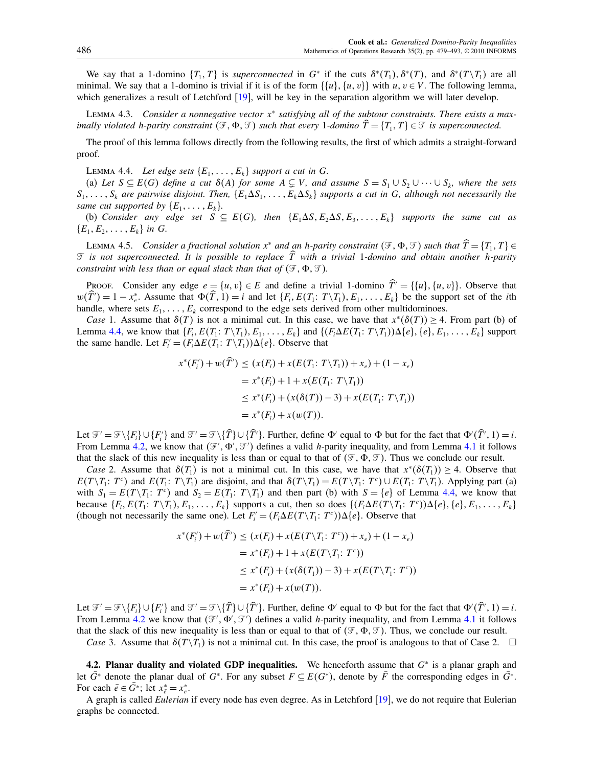<span id="page-7-0"></span>We say that a 1-domino  $\{T_1, T\}$  is *superconnected* in  $G^*$  if the cuts  $\delta^*(T_1)$ ,  $\delta^*(T)$ , and  $\delta^*(T \setminus T_1)$  are all minimal. We say that a 1-domino is trivial if it is of the form  $\{\{u\}, \{u, v\}\}$  with  $u, v \in V$ . The following lemma, which generalizes a result of Letchford [\[19\]](#page-14-0), will be key in the separation algorithm we will later develop.

LEMMA 4.3. Consider a nonnegative vector  $x^*$  satisfying all of the subtour constraints. There exists a maximally violated h-parity constraint  $(\mathcal{F}, \Phi, \mathcal{T})$  such that every 1-domino  $\overline{T} = \{T_1, T\} \in \mathcal{T}$  is superconnected.

The proof of this lemma follows directly from the following results, the first of which admits a straight-forward proof.

LEMMA 4.4. Let edge sets  $\{E_1, \ldots, E_k\}$  support a cut in G.

(a) Let  $S \subseteq E(G)$  define a cut  $\delta(A)$  for some  $A \subsetneq V$ , and assume  $S = S_1 \cup S_2 \cup \cdots \cup S_k$ , where the sets  $S_1,\ldots,S_k$  are pairwise disjoint. Then,  $\{E_1\Delta S_1,\ldots,E_k\Delta S_k\}$  supports a cut in G, although not necessarily the same cut supported by  $\{E_1, \ldots, E_k\}$ .

(b) Consider any edge set  $S \subseteq E(G)$ , then  ${E_1 \Delta S, E_2 \Delta S, E_3, \ldots, E_k}$  supports the same cut as  ${E_1, E_2, \ldots, E_k}$  in G.

LEMMA 4.5. Consider a fractional solution  $x^*$  and an h-parity constraint  $(\mathcal{F}, \Phi, \mathcal{T})$  such that  $\widehat{T} = \{T_1, T\} \in$  $\mathcal I$  is not superconnected. It is possible to replace  $\overline{T}$  with a trivial  $1$ -domino and obtain another h-parity constraint with less than or equal slack than that of  $(\mathcal{F}, \Phi, \mathcal{T})$ .

PROOF. Consider any edge  $e = \{u, v\} \in E$  and define a trivial 1-domino  $\hat{T}' = \{\{u\}, \{u, v\}\}\$ . Observe that  $w(T') = 1 - x_e^*$ . Assume that  $\Phi(T, 1) = i$  and let  $\{F_i, E(T_1; T \setminus T_1), E_1, \ldots, E_k\}$  be the support set of the *i*th handle, where sets  $E_1, \ldots, E_k$  correspond to the edge sets derived from other multidominoes.

*Case* 1. Assume that  $\delta(T)$  is not a minimal cut. In this case, we have that  $x^*(\delta(T)) \geq 4$ . From part (b) of Lemma 4.4, we know that  $\{F_i, E(T_1: T \setminus T_1), E_1, \ldots, E_k\}$  and  $\{(F_i \Delta E(T_1: T \setminus T_1)) \Delta \{e\}, \{e\}, E_1, \ldots, E_k\}$  support the same handle. Let  $F_i' = (F_i \Delta E(T_1: T \setminus T_1)) \Delta \{e\}$ . Observe that

$$
x^*(F'_i) + w(\hat{T}') \le (x(F_i) + x(E(T_1: T \setminus T_1)) + x_e) + (1 - x_e)
$$
  
=  $x^*(F_i) + 1 + x(E(T_1: T \setminus T_1))$   
 $\le x^*(F_i) + (x(\delta(T)) - 3) + x(E(T_1: T \setminus T_1))$   
=  $x^*(F_i) + x(w(T)).$ 

Let  $\mathcal{F}' = \mathcal{F} \setminus \{F_i\} \cup \{F'_i\}$  and  $\mathcal{T}' = \mathcal{T} \setminus \{T\} \cup \{T'\}$ . Further, define  $\Phi'$  equal to  $\Phi$  but for the fact that  $\Phi'(T', 1) = i$ . From Lemma [4.2,](#page-6-0) we know that  $(\mathcal{F}', \Phi', \mathcal{F}')$  defines a valid *h*-parity inequality, and from Lemma [4.1](#page-6-0) it follows that the slack of this new inequality is less than or equal to that of  $(\mathcal{F}, \Phi, \mathcal{T})$ . Thus we conclude our result.

Case 2. Assume that  $\delta(T_1)$  is not a minimal cut. In this case, we have that  $x^*(\delta(T_1)) > 4$ . Observe that  $E(T \setminus T_1: T^c)$  and  $E(T_1: T \setminus T_1)$  are disjoint, and that  $\delta(T \setminus T_1) = E(T \setminus T_1: T^c) \cup E(T_1: T \setminus T_1)$ . Applying part (a) with  $S_1 = E(T \setminus T_1: T^c)$  and  $S_2 = E(T_1: T \setminus T_1)$  and then part (b) with  $S = \{e\}$  of Lemma 4.4, we know that because  $\{F_i, E(T_1: T \setminus T_1), E_1, \ldots, E_k\}$  supports a cut, then so does  $\{(F_i \Delta E(T \setminus T_1: T^c)) \Delta \{e\}, \{e\}, E_1, \ldots, E_k\}$ (though not necessarily the same one). Let  $F_i' = (F_i \Delta E(T \setminus T_1 : T^c)) \Delta \{e\}$ . Observe that

$$
x^*(F'_i) + w(\hat{T}') \le (x(F_i) + x(E(T\setminus T_i; T^c)) + x_e) + (1 - x_e)
$$
  
=  $x^*(F_i) + 1 + x(E(T\setminus T_i; T^c))$   
 $\le x^*(F_i) + (x(\delta(T_i)) - 3) + x(E(T\setminus T_i; T^c))$   
=  $x^*(F_i) + x(w(T)).$ 

Let  $\mathcal{F}' = \mathcal{F} \setminus \{F_i\} \cup \{F'_i\}$  and  $\mathcal{T}' = \mathcal{T} \setminus \{T\} \cup \{T'\}$ . Further, define  $\Phi'$  equal to  $\Phi$  but for the fact that  $\Phi'(T', 1) = i$ . From Lemma [4.2](#page-6-0) we know that  $(\mathcal{F}', \Phi', \mathcal{F}')$  defines a valid h-parity inequality, and from Lemma [4.1](#page-6-0) it follows that the slack of this new inequality is less than or equal to that of  $(\mathcal{F}, \Phi, \mathcal{T})$ . Thus, we conclude our result.

Case 3. Assume that  $\delta(T \setminus T_1)$  is not a minimal cut. In this case, the proof is analogous to that of Case 2.  $\Box$ 

4.2. Planar duality and violated GDP inequalities. We henceforth assume that  $G^*$  is a planar graph and let  $\bar{G}^*$  denote the planar dual of  $G^*$ . For any subset  $F \subseteq E(G^*)$ , denote by  $\bar{F}$  the corresponding edges in  $\bar{G}^*$ . For each  $\bar{e} \in G^*$ ; let  $x_{\bar{e}}^* = x_e^*$ .

A graph is called *Eulerian* if every node has even degree. As in Letchford [\[19\]](#page-14-0), we do not require that Eulerian graphs be connected.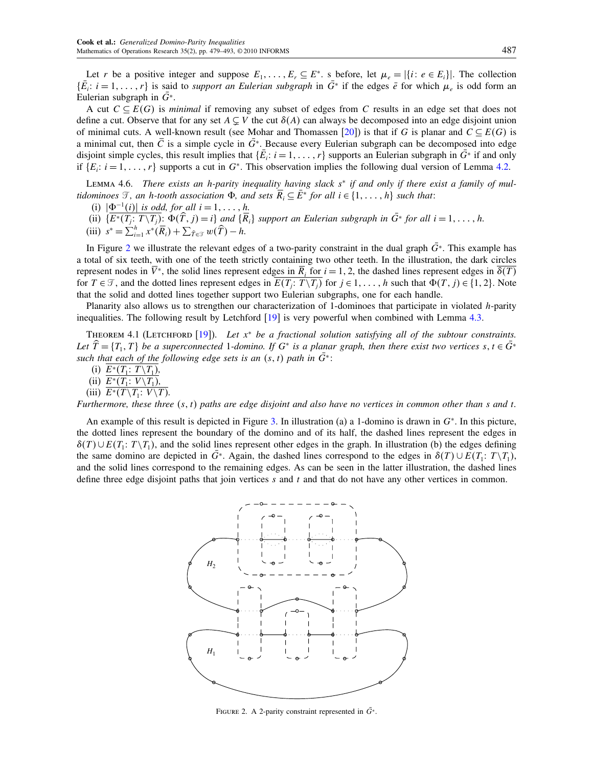<span id="page-8-0"></span>Let r be a positive integer and suppose  $E_1, \ldots, E_r \subseteq E^*$ . s before, let  $\mu_e = |\{i : e \in E_i\}|$ . The collection  $\{E_i: i = 1, \ldots, r\}$  is said to *support an Eulerian subgraph* in  $G^*$  if the edges  $\bar{e}$  for which  $\mu_e$  is odd form an Eulerian subgraph in  $G^*$ .

A cut  $C \subseteq E(G)$  is *minimal* if removing any subset of edges from C results in an edge set that does not define a cut. Observe that for any set  $A \subsetneq V$  the cut  $\delta(A)$  can always be decomposed into an edge disjoint union of minimal cuts. A well-known result (see Mohar and Thomassen [\[20\]](#page-14-0)) is that if G is planar and  $C \subseteq E(G)$  is a minimal cut, then  $\overline{C}$  is a simple cycle in  $\overline{G}^*$ . Because every Eulerian subgraph can be decomposed into edge disjoint simple cycles, this result implies that  $\{E_i: i = 1, \ldots, r\}$  supports an Eulerian subgraph in  $G^*$  if and only if  $\{E_i: i = 1, \ldots, r\}$  supports a cut in  $G^*$ . This observation implies the following dual version of Lemma [4.2.](#page-6-0)

Lemma 4.6. There exists an h-parity inequality having slack s<sup>∗</sup> if and only if there exist a family of multidominoes  $\mathcal{T}$ , an h-tooth association  $\Phi$ , and sets  $\overline{R}_i \subseteq \overline{E}^*$  for all  $i \in \{1, \ldots, h\}$  such that:

- (i)  $|\Phi^{-1}(i)|$  is odd, for all  $i = 1, \ldots, h$ .
- (ii)  $\{E^*(T_j: T\setminus T_j): \Phi(T, j) = i\}$  and  $\{R_i\}$  support an Eulerian subgraph in  $G^*$  for all  $i = 1, \ldots, h$ .
- (iii)  $s^* = \sum_{i=1}^h x^*(\overline{R}_i) + \sum_{\widehat{T} \in \mathcal{T}} w(\widehat{T}) h.$

In Figure 2 we illustrate the relevant edges of a two-parity constraint in the dual graph  $\bar{G}^*$ . This example has a total of six teeth, with one of the teeth strictly containing two other teeth. In the illustration, the dark circles represent nodes in  $V^*$ , the solid lines represent edges in  $R_i$  for  $i = 1, 2$ , the dashed lines represent edges in  $\delta(T)$ for  $T \in \mathcal{T}$ , and the dotted lines represent edges in  $E(T_j: T \setminus T_j)$  for  $j \in 1, \ldots, h$  such that  $\Phi(T, j) \in \{1, 2\}$ . Note that the solid and dotted lines together support two Eulerian subgraphs, one for each handle.

Planarity also allows us to strengthen our characterization of 1-dominoes that participate in violated h-parity inequalities. The following result by Letchford [\[19\]](#page-14-0) is very powerful when combined with Lemma [4.3.](#page-7-0)

THEOREM 4.1 (LETCHFORD [\[19\]](#page-14-0)). Let  $x^*$  be a fractional solution satisfying all of the subtour constraints. Let  $T = \{T_1, T\}$  be a superconnected 1-domino. If  $G^*$  is a planar graph, then there exist two vertices  $s, t \in G^*$ such that each of the following edge sets is an  $(s, t)$  path in  $\bar{G}^*$ :

(i)  $E^*(T_1: T \setminus T_1)$ ,

(ii) 
$$
E^*(T_1: V \setminus T_1)
$$
,

(iii) 
$$
E^*(T \setminus T_1: V \setminus T)
$$
.

Furthermore, these three  $(s, t)$  paths are edge disjoint and also have no vertices in common other than s and t.

An example of this result is depicted in Figure [3.](#page-9-0) In illustration (a) a 1-domino is drawn in G<sup>∗</sup>. In this picture, the dotted lines represent the boundary of the domino and of its half, the dashed lines represent the edges in  $\delta(T) \cup E(T_1: T \setminus T_1)$ , and the solid lines represent other edges in the graph. In illustration (b) the edges defining the same domino are depicted in  $G^*$ . Again, the dashed lines correspond to the edges in  $\delta(T) \cup E(T_1; T \setminus T_1)$ , and the solid lines correspond to the remaining edges. As can be seen in the latter illustration, the dashed lines define three edge disjoint paths that join vertices  $s$  and  $t$  and that do not have any other vertices in common.



FIGURE 2. A 2-parity constraint represented in  $\overline{G}^*$ .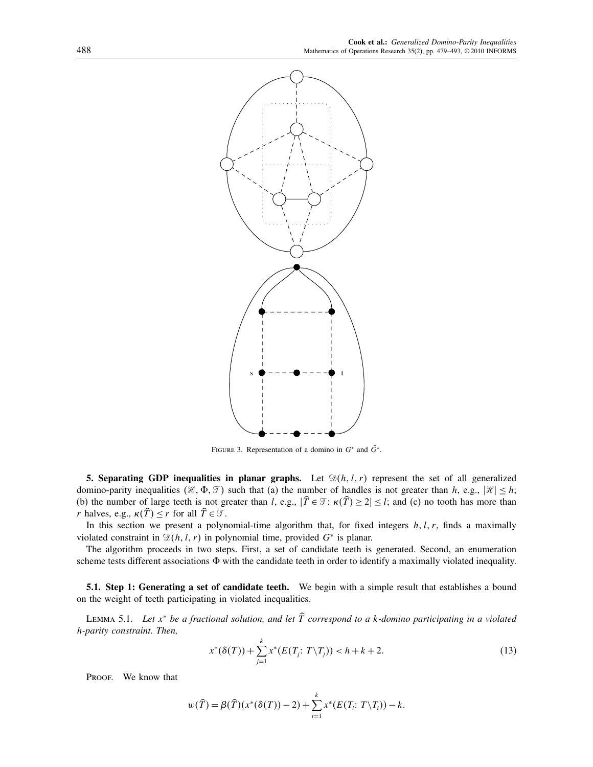<span id="page-9-0"></span>

FIGURE 3. Representation of a domino in  $G^*$  and  $\bar{G}^*$ .

5. Separating GDP inequalities in planar graphs. Let  $\mathfrak{D}(h, l, r)$  represent the set of all generalized domino-parity inequalities  $(\mathcal{H}, \Phi, \mathcal{T})$  such that (a) the number of handles is not greater than h, e.g.,  $|\mathcal{H}| \leq h$ ; (b) the number of large teeth is not greater than l, e.g.,  $|T \in \mathcal{T} : \kappa(T) \geq 2| \leq l$ ; and (c) no tooth has more than r halves, e.g.,  $\kappa(T) \le r$  for all  $T \in \mathcal{T}$ .

In this section we present a polynomial-time algorithm that, for fixed integers  $h, l, r$ , finds a maximally violated constraint in  $\mathcal{D}(h, l, r)$  in polynomial time, provided  $G^*$  is planar.

The algorithm proceeds in two steps. First, a set of candidate teeth is generated. Second, an enumeration scheme tests different associations  $\Phi$  with the candidate teeth in order to identify a maximally violated inequality.

5.1. Step 1: Generating a set of candidate teeth. We begin with a simple result that establishes a bound on the weight of teeth participating in violated inequalities.

LEMMA 5.1. Let  $x^*$  be a fractional solution, and let  $\widehat{T}$  correspond to a k-domino participating in a violated h-parity constraint. Then,

$$
x^*(\delta(T)) + \sum_{j=1}^k x^*(E(T_j; T \setminus T_j)) < h + k + 2. \tag{13}
$$

PROOF. We know that

$$
w(\widehat{T}) = \beta(\widehat{T})(x^*(\delta(T)) - 2) + \sum_{i=1}^k x^*(E(T_i; T \setminus T_i)) - k.
$$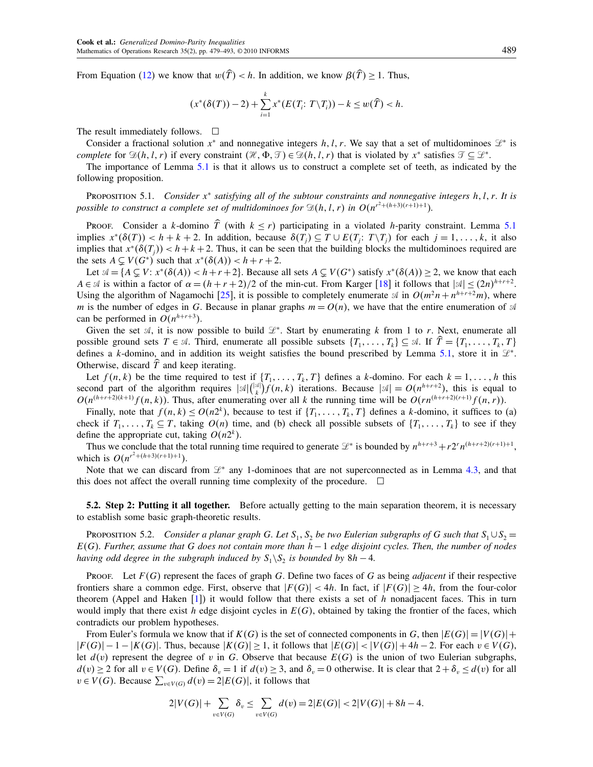<span id="page-10-0"></span>From Equation [\(12\)](#page-6-0) we know that  $w(\hat{T}) < h$ . In addition, we know  $\beta(\hat{T}) \ge 1$ . Thus,

$$
(x^*(\delta(T)) - 2) + \sum_{i=1}^k x^*(E(T_i; T \setminus T_i)) - k \le w(\widehat{T}) < h.
$$

The result immediately follows.  $\Box$ 

Consider a fractional solution  $x^*$  and nonnegative integers h, l, r. We say that a set of multidominoes  $\mathcal{L}^*$  is complete for  $\mathfrak{D}(h, l, r)$  if every constraint  $(\mathcal{H}, \Phi, \mathcal{T}) \in \mathfrak{D}(h, l, r)$  that is violated by  $x^*$  satisfies  $\mathcal{T} \subseteq \mathcal{L}^*$ .

The importance of Lemma [5.1](#page-9-0) is that it allows us to construct a complete set of teeth, as indicated by the following proposition.

PROPOSITION 5.1. Consider  $x^*$  satisfying all of the subtour constraints and nonnegative integers  $h, l, r$ . It is possible to construct a complete set of multidominoes for  $\mathfrak{D}(h, l, r)$  in  $O(n^{r^2 + (h+3)(r+1)+1})$ .

Proof. Consider a k-domino  $\hat{T}$  (with  $k \leq r$ ) participating in a violated h-parity constraint. Lemma [5.1](#page-9-0) implies  $x^*(\delta(T)) < h + k + 2$ . In addition, because  $\delta(T_j) \subseteq T \cup E(T_j; T \setminus T_j)$  for each  $j = 1, \ldots, k$ , it also implies that  $x^*(\delta(T_i)) < h+k+2$ . Thus, it can be seen that the building blocks the multidominoes required are the sets  $A \subseteq V(G^*)$  such that  $x^*(\delta(A)) < h + r + 2$ .

Let  $\mathcal{A} = \{A \subsetneq V : x^*(\delta(A)) < h+r+2\}$ . Because all sets  $A \subsetneq V(G^*)$  satisfy  $x^*(\delta(A)) \geq 2$ , we know that each  $A \in \mathcal{A}$  is within a factor of  $\alpha = (h + r + 2)/2$  of the min-cut. From Karger [\[18\]](#page-14-0) it follows that  $|\mathcal{A}| \leq (2n)^{h+r+2}$ . Using the algorithm of Nagamochi [\[25\]](#page-14-0), it is possible to completely enumerate  $\mathcal{A}$  in  $O(m^2n + n^{h+r+2}m)$ , where m is the number of edges in G. Because in planar graphs  $m = O(n)$ , we have that the entire enumeration of  $\mathcal A$ can be performed in  $O(n^{h+r+3})$ .

Given the set  $A$ , it is now possible to build  $\mathcal{L}^*$ . Start by enumerating k from 1 to r. Next, enumerate all possible ground sets  $T \in \mathcal{A}$ . Third, enumerate all possible subsets  $\{T_1, \ldots, T_k\} \subseteq \mathcal{A}$ . If  $T = \{T_1, \ldots, T_k, T\}$ defines a k-domino, and in addition its weight satisfies the bound prescribed by Lemma [5.1,](#page-9-0) store it in  $\mathcal{L}^*$ . Otherwise, discard  $T$  and keep iterating.

Let  $f(n, k)$  be the time required to test if  $\{T_1, \ldots, T_k, T\}$  defines a k-domino. For each  $k = 1, \ldots, h$  this second part of the algorithm requires  $|\mathcal{A}| \binom{|\mathcal{A}|}{k} f(n, k)$  iterations. Because  $|\mathcal{A}| = O(n^{h+r+2})$ , this is equal to  $O(n^{(h+r+2)(k+1)}f(n, k))$ . Thus, after enumerating over all k the running time will be  $O(rn^{(h+r+2)(r+1)}f(n, r))$ .

Finally, note that  $f(n, k) \le O(n^{2k})$ , because to test if  $\{T_1, \ldots, T_k, T\}$  defines a k-domino, it suffices to (a) check if  $T_1, \ldots, T_k \subseteq T$ , taking  $O(n)$  time, and (b) check all possible subsets of  $\{T_1, \ldots, T_k\}$  to see if they define the appropriate cut, taking  $O(n2^k)$ .

Thus we conclude that the total running time required to generate  $\mathcal{L}^*$  is bounded by  $n^{h+r+3} + r2^r n^{(h+r+2)(r+1)+1}$ , which is  $O(n^{r^2+(h+3)(r+1)+1})$ .

Note that we can discard from  $\mathcal{L}^*$  any 1-dominoes that are not superconnected as in Lemma [4.3,](#page-7-0) and that this does not affect the overall running time complexity of the procedure.  $\Box$ 

5.2. Step 2: Putting it all together. Before actually getting to the main separation theorem, it is necessary to establish some basic graph-theoretic results.

PROPOSITION 5.2. Consider a planar graph G. Let  $S_1, S_2$  be two Eulerian subgraphs of G such that  $S_1 \cup S_2 =$  $E(G)$ . Further, assume that G does not contain more than  $h-1$  edge disjoint cycles. Then, the number of nodes having odd degree in the subgraph induced by  $S_1\backslash S_2$  is bounded by  $8h-4$ .

PROOF. Let  $F(G)$  represent the faces of graph G. Define two faces of G as being *adjacent* if their respective frontiers share a common edge. First, observe that  $|F(G)| < 4h$ . In fact, if  $|F(G)| > 4h$ , from the four-color theorem (Appel and Haken  $[1]$ ) it would follow that there exists a set of h nonadjacent faces. This in turn would imply that there exist h edge disjoint cycles in  $E(G)$ , obtained by taking the frontier of the faces, which contradicts our problem hypotheses.

From Euler's formula we know that if  $K(G)$  is the set of connected components in G, then  $|E(G)| = |V(G)| +$  $|F(G)| - 1 - |K(G)|$ . Thus, because  $|K(G)| > 1$ , it follows that  $|E(G)| < |V(G)| + 4h - 2$ . For each  $v \in V(G)$ , let  $d(v)$  represent the degree of v in G. Observe that because  $E(G)$  is the union of two Eulerian subgraphs,  $d(v) \ge 2$  for all  $v \in V(G)$ . Define  $\delta_v = 1$  if  $d(v) \ge 3$ , and  $\delta_v = 0$  otherwise. It is clear that  $2 + \delta_v \le d(v)$  for all  $v \in V(G)$ . Because  $\sum_{v \in V(G)} d(v) = 2|E(G)|$ , it follows that

$$
2|V(G)| + \sum_{v \in V(G)} \delta_v \le \sum_{v \in V(G)} d(v) = 2|E(G)| < 2|V(G)| + 8h - 4.
$$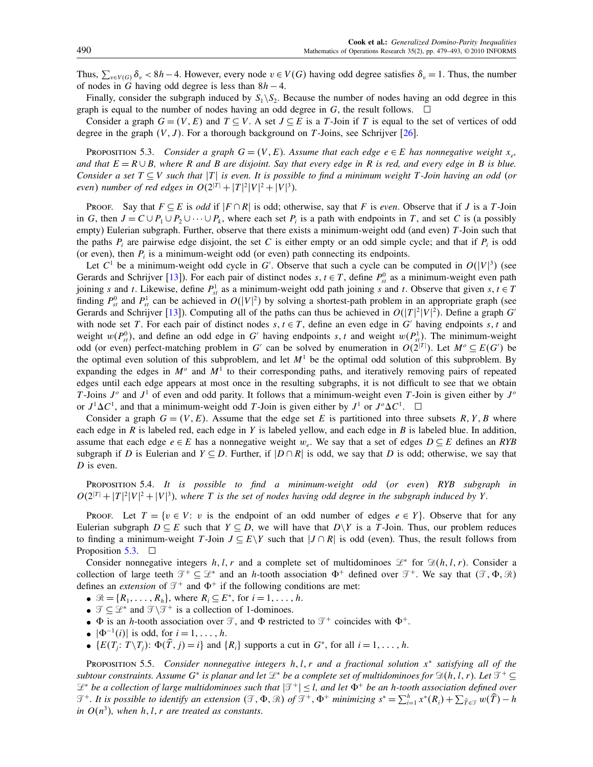<span id="page-11-0"></span>Thus,  $\sum_{v \in V(G)} \delta_v < 8h-4$ . However, every node  $v \in V(G)$  having odd degree satisfies  $\delta_v = 1$ . Thus, the number of nodes in G having odd degree is less than  $8h - 4$ .

Finally, consider the subgraph induced by  $S_1\backslash S_2$ . Because the number of nodes having an odd degree in this graph is equal to the number of nodes having an odd degree in G, the result follows.  $\Box$ 

Consider a graph  $G = (V, E)$  and  $T \subseteq V$ . A set  $J \subseteq E$  is a T-Join if T is equal to the set of vertices of odd degree in the graph  $(V, J)$ . For a thorough background on T-Joins, see Schrijver [\[26\]](#page-14-0).

PROPOSITION 5.3. Consider a graph  $G = (V, E)$ . Assume that each edge  $e \in E$  has nonnegative weight  $x_e$ , and that  $E = R \cup B$ , where R and B are disjoint. Say that every edge in R is red, and every edge in B is blue. Consider a set  $T \subseteq V$  such that  $|T|$  is even. It is possible to find a minimum weight T-Join having an odd (or even) number of red edges in  $O(2^{|T|} + |T|^2 |V|^2 + |V|^3)$ .

Proof. Say that  $F \subseteq E$  is *odd* if  $|F \cap R|$  is odd; otherwise, say that F is *even*. Observe that if J is a T-Join in G, then  $J = C \cup P_1 \cup P_2 \cup \cdots \cup P_k$ , where each set  $P_i$  is a path with endpoints in T, and set C is (a possibly empty) Eulerian subgraph. Further, observe that there exists a minimum-weight odd (and even) T-Join such that the paths  $P_i$  are pairwise edge disjoint, the set C is either empty or an odd simple cycle; and that if  $P_i$  is odd (or even), then  $P_i$  is a minimum-weight odd (or even) path connecting its endpoints.

Let  $C^1$  be a minimum-weight odd cycle in G'. Observe that such a cycle can be computed in  $O(|V|^3)$  (see Gerards and Schrijver [\[13\]](#page-14-0)). For each pair of distinct nodes  $s, t \in T$ , define  $P_{st}^0$  as a minimum-weight even path joining s and t. Likewise, define  $P_{st}^1$  as a minimum-weight odd path joining s and t. Observe that given s,  $t \in T$ finding  $P_{st}^0$  and  $P_{st}^1$  can be achieved in  $O(|V|^2)$  by solving a shortest-path problem in an appropriate graph (see Gerards and Schrijver [\[13\]](#page-14-0)). Computing all of the paths can thus be achieved in  $O(|T|^2|V|^2)$ . Define a graph G' with node set T. For each pair of distinct nodes  $s, t \in T$ , define an even edge in G' having endpoints s, t and weight  $w(P_{st}^0)$ , and define an odd edge in G' having endpoints s, t and weight  $w(P_{st}^1)$ . The minimum-weight odd (or even) perfect-matching problem in G' can be solved by enumeration in  $O(2^{|T|})$ . Let  $M^o \subseteq E(G')$  be the optimal even solution of this subproblem, and let  $M<sup>1</sup>$  be the optimal odd solution of this subproblem. By expanding the edges in  $M^{\circ}$  and  $M^1$  to their corresponding paths, and iteratively removing pairs of repeated edges until each edge appears at most once in the resulting subgraphs, it is not difficult to see that we obtain T-Joins  $J^{\circ}$  and  $J^1$  of even and odd parity. It follows that a minimum-weight even T-Join is given either by  $J^{\circ}$ or  $J^1 \Delta C^1$ , and that a minimum-weight odd T-Join is given either by  $J^1$  or  $J^0 \Delta C^1$ .  $\Box$ 

Consider a graph  $G = (V, E)$ . Assume that the edge set E is partitioned into three subsets R, Y, B where each edge in  $R$  is labeled red, each edge in  $Y$  is labeled yellow, and each edge in  $B$  is labeled blue. In addition, assume that each edge  $e \in E$  has a nonnegative weight w<sub>e</sub>. We say that a set of edges  $D \subseteq E$  defines an RYB subgraph if D is Eulerian and  $Y \subseteq D$ . Further, if  $|D \cap R|$  is odd, we say that D is odd; otherwise, we say that D is even.

Proposition 5.4. It is possible to find a minimum-weight odd (or even) RYB subgraph in  $O(2^{|T|} + |T|^2 |V|^2 + |V|^3)$ , where T is the set of nodes having odd degree in the subgraph induced by Y.

PROOF. Let  $T = \{v \in V : v \text{ is the endpoint of an odd number of edges } e \in Y\}$ . Observe that for any Eulerian subgraph  $D \subseteq E$  such that  $Y \subseteq D$ , we will have that  $D \setminus Y$  is a T-Join. Thus, our problem reduces to finding a minimum-weight T-Join  $J \subseteq E\Y$  such that  $|J \cap R|$  is odd (even). Thus, the result follows from Proposition 5.3.  $\Box$ 

Consider nonnegative integers h, l, r and a complete set of multidominoes  $\mathcal{L}^*$  for  $\mathcal{D}(h, l, r)$ . Consider a collection of large teeth  $\mathcal{T}^+ \subseteq \mathcal{L}^*$  and an h-tooth association  $\Phi^+$  defined over  $\mathcal{T}^+$ . We say that  $(\mathcal{T}, \Phi, \mathcal{R})$ defines an *extension* of  $\mathcal{T}^+$  and  $\Phi^+$  if the following conditions are met:

- $\mathcal{R} = \{R_1, \ldots, R_h\}$ , where  $R_i \subseteq E^*$ , for  $i = 1, \ldots, h$ .
- $\mathcal{T} \subseteq \mathcal{L}^*$  and  $\mathcal{T} \setminus \mathcal{T}^+$  is a collection of 1-dominoes.
- $\Phi$  is an *h*-tooth association over  $\mathcal{T}$ , and  $\Phi$  restricted to  $\mathcal{T}^+$  coincides with  $\Phi^+$ .
- $|\Phi^{-1}(i)|$  is odd, for  $i = 1, \ldots, h$ .
- $\{E(T_j: T \setminus T_j): \Phi(T, j) = i\}$  and  $\{R_i\}$  supports a cut in  $G^*$ , for all  $i = 1, \ldots, h$ .

PROPOSITION 5.5. Consider nonnegative integers  $h, l, r$  and a fractional solution  $x^*$  satisfying all of the subtour constraints. Assume G<sup>∗</sup> is planar and let  $\mathcal{L}^*$  be a complete set of multidominoes for  $\mathfrak{D}(h, l, r)$ . Let  $\mathfrak{T}^+ \subseteq$  $\mathcal{L}^*$  be a collection of large multidominoes such that  $|\mathcal{T}^+| \leq l$ , and let  $\Phi^+$  be an h-tooth association defined over  $\mathcal{T}^+$ . It is possible to identify an extension  $(\mathcal{T}, \Phi, \mathcal{R})$  of  $\mathcal{T}^+$ ,  $\Phi^+$  minimizing  $s^* = \sum_{i=1}^h x^*(R_i) + \sum_{\widehat{I} \in \mathcal{T}} w(\widehat{I}) - h$ in  $O(n^3)$ , when h, l, r are treated as constants.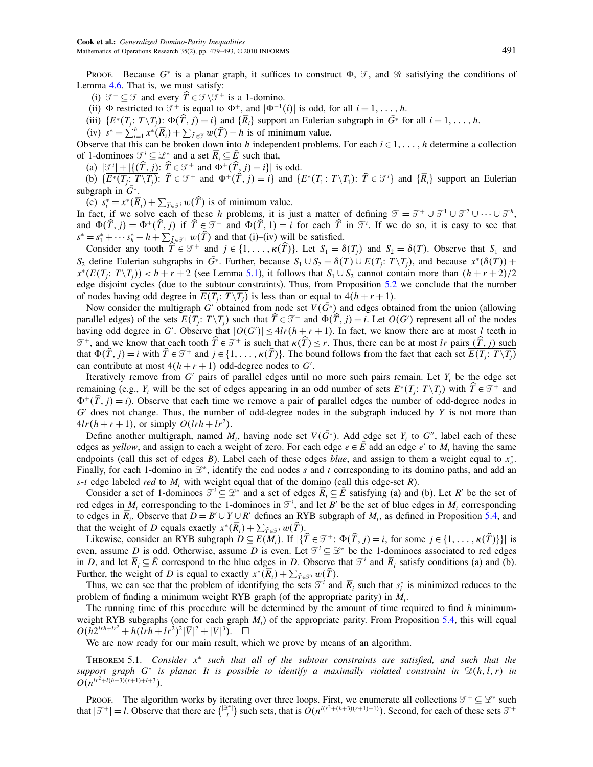<span id="page-12-0"></span>Proof. Because  $G^*$  is a planar graph, it suffices to construct  $\Phi$ ,  $\mathcal{T}$ , and  $\mathcal{R}$  satisfying the conditions of Lemma [4.6.](#page-8-0) That is, we must satisfy:

(i)  $\mathcal{T}^+ \subseteq \mathcal{T}$  and every  $T \in \mathcal{T} \setminus \mathcal{T}^+$  is a 1-domino.

(ii)  $\Phi$  restricted to  $\mathcal{T}^+$  is equal to  $\Phi^+$ , and  $|\Phi^{-1}(i)|$  is odd, for all  $i = 1, \ldots, h$ .

(iii)  $\{E^*(T_j: T \setminus T_j): \Phi(T, j) = i\}$  and  $\{R_i\}$  support an Eulerian subgraph in  $G^*$  for all  $i = 1, \ldots, h$ .

(iv)  $s^* = \sum_{i=1}^h x^*(\overline{R}_i) + \sum_{\widehat{T} \in \mathcal{T}} w(\widehat{T}) - h$  is of minimum value.

Observe that this can be broken down into h independent problems. For each  $i \in 1, \ldots, h$  determine a collection of 1-dominoes  $\mathcal{T}^i \subseteq \mathcal{L}^*$  and a set  $\overline{R}_i \subseteq \overline{E}$  such that,

(a)  $|\mathcal{I}^i| + |\{(T, j): \hat{T} \in \mathcal{I}^+ \text{ and } \Phi^+(T, j) = i\}|$  is odd.

(b)  $\{E^*(T_j: T \setminus T_j): \ \widehat{T} \in \mathcal{T}^+ \text{ and } \Phi^+(\widehat{T}, j) = i\} \text{ and } \{E^*(T_1: T \setminus T_1): \ \widehat{T} \in \mathcal{T}^i\} \text{ and } \{\overline{R}_i\} \text{ support an Eulerian}$ subgraph in  $\bar{G}^*$ .

(c)  $s_i^* = x^*(R_i) + \sum_{\widehat{T} \in \mathcal{T}^i} w(T)$  is of minimum value.

In fact, if we solve each of these h problems, it is just a matter of defining  $\mathcal{T} = \mathcal{T}^+ \cup \mathcal{T}^1 \cup \mathcal{T}^2 \cup \cdots \cup \mathcal{T}^h$ , and  $\Phi(\widehat{T},j) = \Phi^+(\widehat{T},j)$  if  $\widehat{T} \in \mathcal{T}^+$  and  $\Phi(\widehat{T},1) = i$  for each  $\widehat{T}$  in  $\mathcal{T}^i$ . If we do so, it is easy to see that  $s^* = s_1^* + \cdots + s_h^* - h + \sum_{\widehat{\mathcal{I}} \in \mathcal{I}^+} w(T)$  and that (i)–(iv) will be satisfied.

Consider any tooth  $T \in \mathcal{T}^+$  and  $j \in \{1, ..., \kappa(T)\}\)$ . Let  $S_1 = \delta(T_j)$  and  $S_2 = \delta(T)$ . Observe that  $S_1$  and S<sub>2</sub> define Eulerian subgraphs in G<sup>∗</sup>. Further, because  $S_1 \cup S_2 = \delta(T) \cup E(T_j : T \setminus T_j)$ , and because  $x^*(\delta(T))$  +  $x^*(E(T_j: T \setminus T_j)) < h + r + 2$  (see Lemma [5.1\)](#page-9-0), it follows that  $S_1 \cup S_2$  cannot contain more than  $(h + r + 2)/2$ edge disjoint cycles (due to the subtour constraints). Thus, from Proposition [5.2](#page-10-0) we conclude that the number of nodes having odd degree in  $E(T_j: T \setminus T_j)$  is less than or equal to  $4(h + r + 1)$ .

Now consider the multigraph G' obtained from node set  $V(\overline{G}*)$  and edges obtained from the union (allowing parallel edges) of the sets  $E(T_j: T \setminus T_j)$  such that  $T \in \mathcal{T}^+$  and  $\Phi(T, j) = i$ . Let  $O(G')$  represent all of the nodes having odd degree in G'. Observe that  $|O(G')| \leq 4lr(h + r + 1)$ . In fact, we know there are at most l teeth in  $\mathcal{T}^+$ , and we know that each tooth  $T \in \mathcal{T}^+$  is such that  $\kappa(T) \le r$ . Thus, there can be at most lr pairs  $(T, j)$  such that  $\Phi(T, j) = i$  with  $T \in \mathcal{T}^+$  and  $j \in \{1, \dots, \kappa(T)\}\)$ . The bound follows from the fact that each set  $E(T_j : T \setminus T_j)$ can contribute at most  $4(h + r + 1)$  odd-degree nodes to G'.

Iteratively remove from  $G'$  pairs of parallel edges until no more such pairs remain. Let  $Y_i$  be the edge set remaining (e.g., Y<sub>i</sub> will be the set of edges appearing in an odd number of sets  $E^*(T_j: T \setminus T_j)$  with  $T \in \mathcal{T}^+$  and  $\Phi^+(\hat{T}, i) = i$ ). Observe that each time we remove a pair of parallel edges the number of odd-degree nodes in  $G'$  does not change. Thus, the number of odd-degree nodes in the subgraph induced by Y is not more than  $4lr(h + r + 1)$ , or simply  $O(lrh + lr^2)$ .

Define another multigraph, named  $M_i$ , having node set  $V(\overline{G}*)$ . Add edge set  $Y_i$  to  $G'$ , label each of these edges as yellow, and assign to each a weight of zero. For each edge  $e \in \overline{E}$  add an edge e' to  $M_i$  having the same endpoints (call this set of edges B). Label each of these edges *blue*, and assign to them a weight equal to  $x_e^*$ . Finally, for each 1-domino in  $\mathcal{L}^*$ , identify the end nodes s and t corresponding to its domino paths, and add an s-t edge labeled red to  $M_i$ , with weight equal that of the domino (call this edge-set R).

Consider a set of 1-dominoes  $\mathcal{T}^i \subseteq \mathcal{L}^*$  and a set of edges  $R_i \subseteq E$  satisfying (a) and (b). Let R' be the set of red edges in  $M_i$  corresponding to the 1-dominoes in  $\mathcal{T}^i$ , and let B' be the set of blue edges in  $M_i$  corresponding to edges in  $\overline{R}_i$ . Observe that  $D = B' \cup Y \cup R'$  defines an RYB subgraph of  $M_i$ , as defined in Proposition [5.4,](#page-11-0) and that the weight of D equals exactly  $x^*(R_i) + \sum_{\widehat{T} \in \mathcal{T}^i} w(T)$ .

Likewise, consider an RYB subgraph  $D \subseteq E(M_i)$ . If  $|\{T \in \mathcal{T}^+ : \Phi(T, j) = i\}$ , for some  $j \in \{1, \ldots, \kappa(T)\}\}|$  is even, assume D is odd. Otherwise, assume D is even. Let  $\mathcal{T}^i \subseteq \mathcal{L}^*$  be the 1-dominoes associated to red edges in D, and let  $\overline{R}_i \subseteq \overline{E}$  correspond to the blue edges in D. Observe that  $\mathcal{T}^i$  and  $\overline{R}_i$  satisfy conditions (a) and (b). Further, the weight of D is equal to exactly  $x^*(R_i) + \sum_{\widehat{T} \in \mathcal{T}^i} w(T)$ .

Thus, we can see that the problem of identifying the sets  $\mathcal{T}^i$  and  $\overline{R}_i$  such that  $s_i^*$  is minimized reduces to the problem of finding a minimum weight RYB graph (of the appropriate parity) in  $M_i$ .

The running time of this procedure will be determined by the amount of time required to find  $h$  minimumweight RYB subgraphs (one for each graph  $M_i$ ) of the appropriate parity. From Proposition [5.4,](#page-11-0) this will equal  $O(h2^{lrh+l r^2} + h(lrh + lr^2)^2 |\overline{V}|^2 + |V|^3)$ .  $\Box$ 

We are now ready for our main result, which we prove by means of an algorithm.

THEOREM 5.1. Consider  $x^*$  such that all of the subtour constraints are satisfied, and such that the support graph G<sup>∗</sup> is planar. It is possible to identify a maximally violated constraint in  $\mathfrak{D}(h, l, r)$  in  $O(n^{lr^2 + l(h+3)(r+1)+l+3}).$ 

Proof. The algorithm works by iterating over three loops. First, we enumerate all collections  $\mathcal{T}^+ \subseteq \mathcal{L}^*$  such that  $|\mathcal{T}^+| = l$ . Observe that there are  $\binom{|\mathcal{Z}^*|}{l}$  such sets, that is  $O(n^{l(r^2 + (h+3)(r+1)+1)})$ . Second, for each of these sets  $\mathcal{T}^+$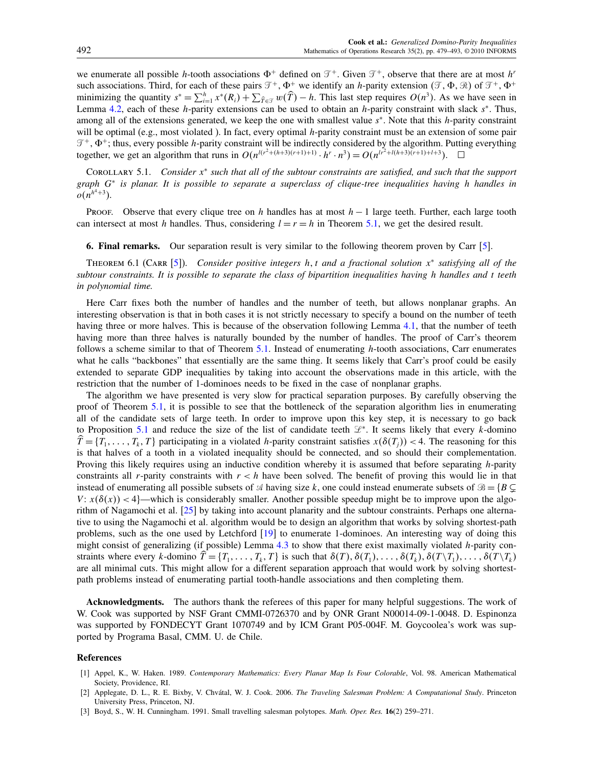<span id="page-13-0"></span>we enumerate all possible h-tooth associations  $\Phi^+$  defined on  $\mathcal{T}^+$ . Given  $\mathcal{T}^+$ , observe that there are at most h<sup>r</sup> such associations. Third, for each of these pairs  $\mathcal{T}^+$ ,  $\Phi^+$  we identify an *h*-parity extension  $(\mathcal{T}, \Phi, \mathcal{R})$  of  $\mathcal{T}^+$ ,  $\Phi^+$ minimizing the quantity  $s^* = \sum_{i=1}^h x^*(R_i) + \sum_{\hat{T} \in \mathcal{T}} w(\hat{T}) - h$ . This last step requires  $O(n^3)$ . As we have seen in Lemma [4.2,](#page-6-0) each of these h-parity extensions can be used to obtain an h-parity constraint with slack  $s^*$ . Thus, among all of the extensions generated, we keep the one with smallest value s<sup>∗</sup>. Note that this h-parity constraint will be optimal (e.g., most violated ). In fact, every optimal  $h$ -parity constraint must be an extension of some pair  $\mathcal{T}^+$ ,  $\Phi^+$ ; thus, every possible *h*-parity constraint will be indirectly considered by the algorithm. Putting everything together, we get an algorithm that runs in  $O(n^{l(r^2 + (h+3)(r+1)+1)} \cdot h^r \cdot n^3) = O(n^{l r^2 + l(h+3)(r+1)+l+3})$ .  $\Box$ 

COROLLARY 5.1. Consider  $x^*$  such that all of the subtour constraints are satisfied, and such that the support graph G<sup>∗</sup> is planar. It is possible to separate a superclass of clique-tree inequalities having h handles in  $o(n^{h^4+3})$ .

Proof. Observe that every clique tree on h handles has at most  $h-1$  large teeth. Further, each large tooth can intersect at most h handles. Thus, considering  $l = r = h$  in Theorem [5.1,](#page-12-0) we get the desired result.

6. Final remarks. Our separation result is very similar to the following theorem proven by Carr [\[5\]](#page-14-0).

THEOREM 6.1 (CARR [\[5\]](#page-14-0)). Consider positive integers h, t and a fractional solution  $x^*$  satisfying all of the subtour constraints. It is possible to separate the class of bipartition inequalities having h handles and t teeth in polynomial time.

Here Carr fixes both the number of handles and the number of teeth, but allows nonplanar graphs. An interesting observation is that in both cases it is not strictly necessary to specify a bound on the number of teeth having three or more halves. This is because of the observation following Lemma [4.1,](#page-6-0) that the number of teeth having more than three halves is naturally bounded by the number of handles. The proof of Carr's theorem follows a scheme similar to that of Theorem [5.1.](#page-12-0) Instead of enumerating h-tooth associations, Carr enumerates what he calls "backbones" that essentially are the same thing. It seems likely that Carr's proof could be easily extended to separate GDP inequalities by taking into account the observations made in this article, with the restriction that the number of 1-dominoes needs to be fixed in the case of nonplanar graphs.

The algorithm we have presented is very slow for practical separation purposes. By carefully observing the proof of Theorem [5.1,](#page-12-0) it is possible to see that the bottleneck of the separation algorithm lies in enumerating all of the candidate sets of large teeth. In order to improve upon this key step, it is necessary to go back to Proposition [5.1](#page-10-0) and reduce the size of the list of candidate teeth  $\mathcal{L}^*$ . It seems likely that every k-domino  $T = \{T_1, \ldots, T_k, T\}$  participating in a violated *h*-parity constraint satisfies  $x(\delta(T_j)) < 4$ . The reasoning for this is that halves of a tooth in a violated inequality should be connected, and so should their complementation. Proving this likely requires using an inductive condition whereby it is assumed that before separating h-parity constraints all r-parity constraints with  $r < h$  have been solved. The benefit of proving this would lie in that instead of enumerating all possible subsets of  $\mathcal A$  having size k, one could instead enumerate subsets of  $\mathcal B = \{B \subseteq$  $V: x(\delta(x)) < 4$ —which is considerably smaller. Another possible speedup might be to improve upon the algorithm of Nagamochi et al. [\[25\]](#page-14-0) by taking into account planarity and the subtour constraints. Perhaps one alternative to using the Nagamochi et al. algorithm would be to design an algorithm that works by solving shortest-path problems, such as the one used by Letchford [\[19\]](#page-14-0) to enumerate 1-dominoes. An interesting way of doing this might consist of generalizing (if possible) Lemma [4.3](#page-7-0) to show that there exist maximally violated h-parity constraints where every k-domino  $T = \{T_1, \ldots, T_k, T\}$  is such that  $\delta(T)$ ,  $\delta(T_1), \ldots, \delta(T_k), \delta(T \setminus T_1), \ldots, \delta(T \setminus T_k)$ are all minimal cuts. This might allow for a different separation approach that would work by solving shortestpath problems instead of enumerating partial tooth-handle associations and then completing them.

Acknowledgments. The authors thank the referees of this paper for many helpful suggestions. The work of W. Cook was supported by NSF Grant CMMI-0726370 and by ONR Grant N00014-09-1-0048. D. Espinonza was supported by FONDECYT Grant 1070749 and by ICM Grant P05-004F. M. Goycoolea's work was supported by Programa Basal, CMM. U. de Chile.

### References

- [1] Appel, K., W. Haken. 1989. Contemporary Mathematics: Every Planar Map Is Four Colorable, Vol. 98. American Mathematical Society, Providence, RI.
- [2] Applegate, D. L., R. E. Bixby, V. Chvátal, W. J. Cook. 2006. The Traveling Salesman Problem: A Computational Study. Princeton University Press, Princeton, NJ.
- [3] Boyd, S., W. H. Cunningham. 1991. Small travelling salesman polytopes. Math. Oper. Res. 16(2) 259-271.